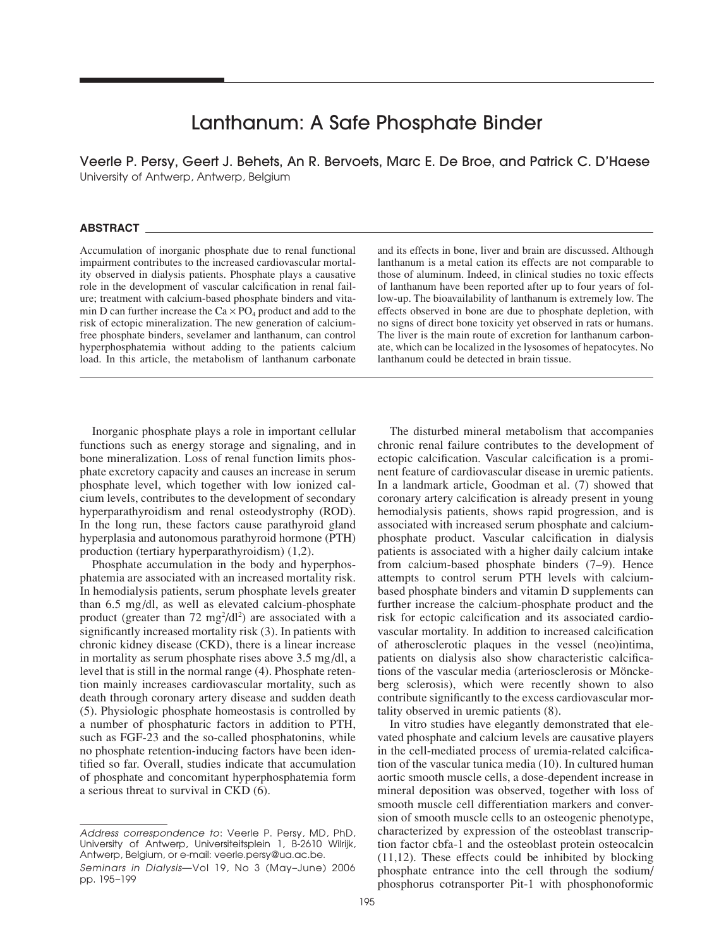# Lanthanum: A Safe Phosphate Binder

Veerle P. Persy, Geert J. Behets, An R. Bervoets, Marc E. De Broe, and Patrick C. D'Haese University of Antwerp, Antwerp, Belgium

### **ABSTRACT**

Accumulation of inorganic phosphate due to renal functional impairment contributes to the increased cardiovascular mortality observed in dialysis patients. Phosphate plays a causative role in the development of vascular calcification in renal failure; treatment with calcium-based phosphate binders and vitamin D can further increase the  $Ca \times PO_4$  product and add to the risk of ectopic mineralization. The new generation of calciumfree phosphate binders, sevelamer and lanthanum, can control hyperphosphatemia without adding to the patients calcium load. In this article, the metabolism of lanthanum carbonate

Inorganic phosphate plays a role in important cellular functions such as energy storage and signaling, and in bone mineralization. Loss of renal function limits phosphate excretory capacity and causes an increase in serum phosphate level, which together with low ionized calcium levels, contributes to the development of secondary hyperparathyroidism and renal osteodystrophy (ROD). In the long run, these factors cause parathyroid gland hyperplasia and autonomous parathyroid hormone (PTH) production (tertiary hyperparathyroidism) (1,2).

Phosphate accumulation in the body and hyperphosphatemia are associated with an increased mortality risk. In hemodialysis patients, serum phosphate levels greater than 6.5 mg/dl, as well as elevated calcium-phosphate product (greater than  $72 \text{ mg}^2/\text{d}l^2$ ) are associated with a significantly increased mortality risk (3). In patients with chronic kidney disease (CKD), there is a linear increase in mortality as serum phosphate rises above 3.5 mg/dl, a level that is still in the normal range (4). Phosphate retention mainly increases cardiovascular mortality, such as death through coronary artery disease and sudden death (5). Physiologic phosphate homeostasis is controlled by a number of phosphaturic factors in addition to PTH, such as FGF-23 and the so-called phosphatonins, while no phosphate retention-inducing factors have been identified so far. Overall, studies indicate that accumulation of phosphate and concomitant hyperphosphatemia form a serious threat to survival in CKD (6).

and its effects in bone, liver and brain are discussed. Although lanthanum is a metal cation its effects are not comparable to those of aluminum. Indeed, in clinical studies no toxic effects of lanthanum have been reported after up to four years of follow-up. The bioavailability of lanthanum is extremely low. The effects observed in bone are due to phosphate depletion, with no signs of direct bone toxicity yet observed in rats or humans. The liver is the main route of excretion for lanthanum carbonate, which can be localized in the lysosomes of hepatocytes. No lanthanum could be detected in brain tissue.

The disturbed mineral metabolism that accompanies chronic renal failure contributes to the development of ectopic calcification. Vascular calcification is a prominent feature of cardiovascular disease in uremic patients. In a landmark article, Goodman et al. (7) showed that coronary artery calcification is already present in young hemodialysis patients, shows rapid progression, and is associated with increased serum phosphate and calciumphosphate product. Vascular calcification in dialysis patients is associated with a higher daily calcium intake from calcium-based phosphate binders (7–9). Hence attempts to control serum PTH levels with calciumbased phosphate binders and vitamin D supplements can further increase the calcium-phosphate product and the risk for ectopic calcification and its associated cardiovascular mortality. In addition to increased calcification of atherosclerotic plaques in the vessel (neo)intima, patients on dialysis also show characteristic calcifications of the vascular media (arteriosclerosis or Mönckeberg sclerosis), which were recently shown to also contribute significantly to the excess cardiovascular mortality observed in uremic patients (8).

In vitro studies have elegantly demonstrated that elevated phosphate and calcium levels are causative players in the cell-mediated process of uremia-related calcification of the vascular tunica media (10). In cultured human aortic smooth muscle cells, a dose-dependent increase in mineral deposition was observed, together with loss of smooth muscle cell differentiation markers and conversion of smooth muscle cells to an osteogenic phenotype, characterized by expression of the osteoblast transcription factor cbfa-1 and the osteoblast protein osteocalcin (11,12). These effects could be inhibited by blocking phosphate entrance into the cell through the sodium/ phosphorus cotransporter Pit-1 with phosphonoformic

Address correspondence to: Veerle P. Persy, MD, PhD, University of Antwerp, Universiteitsplein 1, B-2610 Wilrijk, Antwerp, Belgium, or e-mail: veerle.persy@ua.ac.be.

Seminars in Dialysis—Vol 19, No 3 (May–June) 2006 pp. 195–199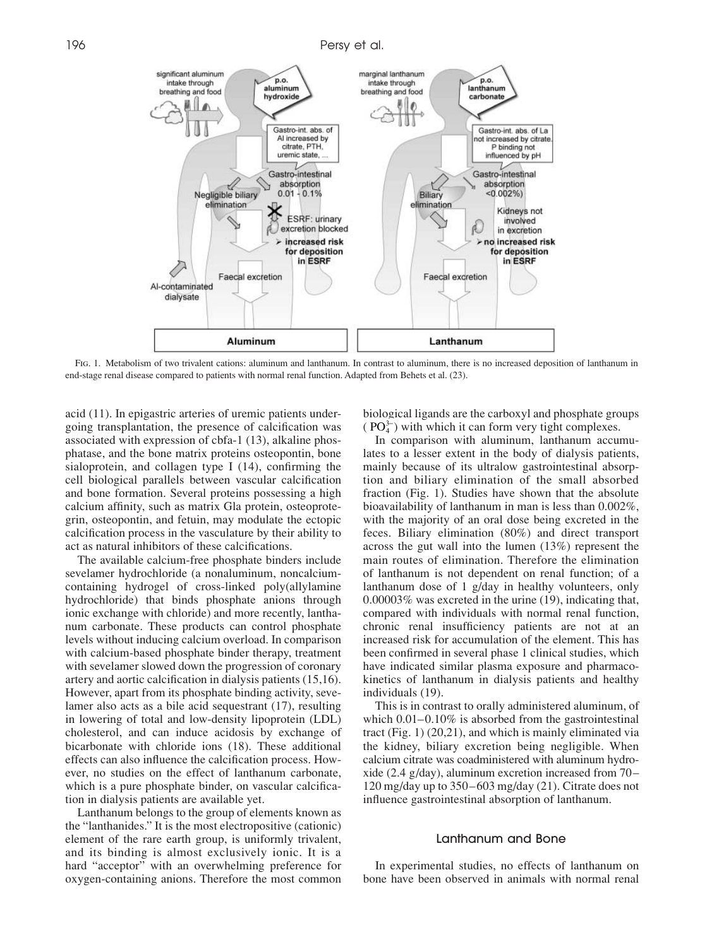

Fig. 1. Metabolism of two trivalent cations: aluminum and lanthanum. In contrast to aluminum, there is no increased deposition of lanthanum in end-stage renal disease compared to patients with normal renal function. Adapted from Behets et al. (23).

acid (11). In epigastric arteries of uremic patients undergoing transplantation, the presence of calcification was associated with expression of cbfa-1 (13), alkaline phosphatase, and the bone matrix proteins osteopontin, bone sialoprotein, and collagen type I (14), confirming the cell biological parallels between vascular calcification and bone formation. Several proteins possessing a high calcium affinity, such as matrix Gla protein, osteoprotegrin, osteopontin, and fetuin, may modulate the ectopic calcification process in the vasculature by their ability to act as natural inhibitors of these calcifications.

The available calcium-free phosphate binders include sevelamer hydrochloride (a nonaluminum, noncalciumcontaining hydrogel of cross-linked poly(allylamine hydrochloride) that binds phosphate anions through ionic exchange with chloride) and more recently, lanthanum carbonate. These products can control phosphate levels without inducing calcium overload. In comparison with calcium-based phosphate binder therapy, treatment with sevelamer slowed down the progression of coronary artery and aortic calcification in dialysis patients (15,16). However, apart from its phosphate binding activity, sevelamer also acts as a bile acid sequestrant (17), resulting in lowering of total and low-density lipoprotein (LDL) cholesterol, and can induce acidosis by exchange of bicarbonate with chloride ions (18). These additional effects can also influence the calcification process. However, no studies on the effect of lanthanum carbonate, which is a pure phosphate binder, on vascular calcification in dialysis patients are available yet.

Lanthanum belongs to the group of elements known as the "lanthanides." It is the most electropositive (cationic) element of the rare earth group, is uniformly trivalent, and its binding is almost exclusively ionic. It is a hard "acceptor" with an overwhelming preference for oxygen-containing anions. Therefore the most common

biological ligands are the carboxyl and phosphate groups  $(PO<sub>4</sub><sup>3−</sup>)$  with which it can form very tight complexes.

In comparison with aluminum, lanthanum accumulates to a lesser extent in the body of dialysis patients, mainly because of its ultralow gastrointestinal absorption and biliary elimination of the small absorbed fraction (Fig. 1). Studies have shown that the absolute bioavailability of lanthanum in man is less than 0.002%, with the majority of an oral dose being excreted in the feces. Biliary elimination (80%) and direct transport across the gut wall into the lumen (13%) represent the main routes of elimination. Therefore the elimination of lanthanum is not dependent on renal function; of a lanthanum dose of 1 g/day in healthy volunteers, only 0.00003% was excreted in the urine (19), indicating that, compared with individuals with normal renal function, chronic renal insufficiency patients are not at an increased risk for accumulation of the element. This has been confirmed in several phase 1 clinical studies, which have indicated similar plasma exposure and pharmacokinetics of lanthanum in dialysis patients and healthy individuals (19).

This is in contrast to orally administered aluminum, of which  $0.01-0.10\%$  is absorbed from the gastrointestinal tract (Fig. 1) (20,21), and which is mainly eliminated via the kidney, biliary excretion being negligible. When calcium citrate was coadministered with aluminum hydroxide (2.4 g/day), aluminum excretion increased from 70– 120 mg/day up to 350–603 mg/day (21). Citrate does not influence gastrointestinal absorption of lanthanum.

# Lanthanum and Bone

In experimental studies, no effects of lanthanum on bone have been observed in animals with normal renal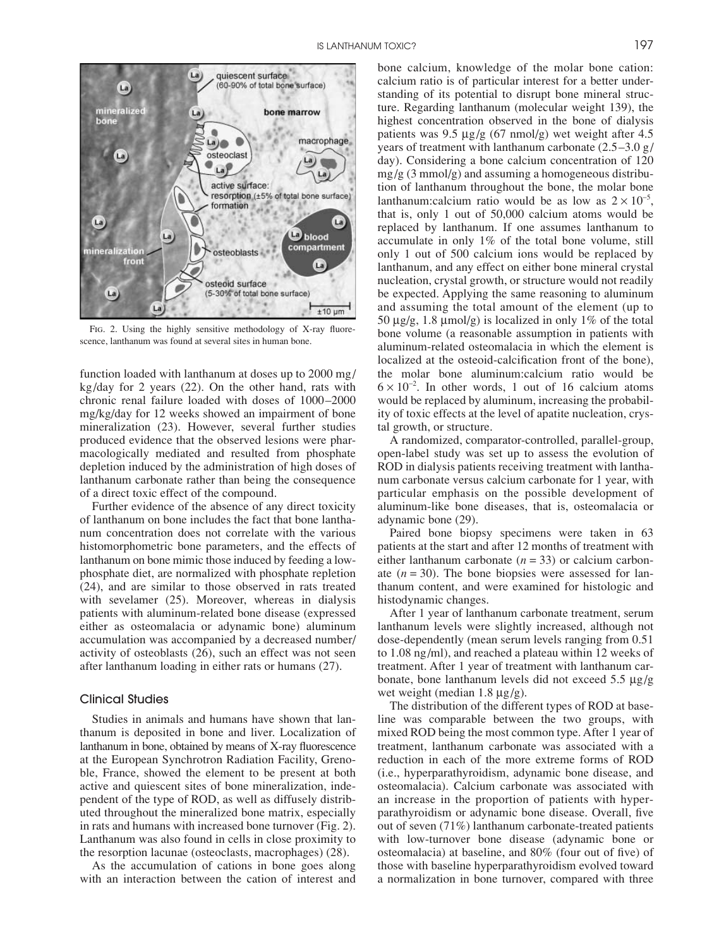

FIG. 2. Using the highly sensitive methodology of X-ray fluorescence, lanthanum was found at several sites in human bone.

function loaded with lanthanum at doses up to 2000 mg/ kg/day for 2 years (22). On the other hand, rats with chronic renal failure loaded with doses of 1000–2000 mg/kg/day for 12 weeks showed an impairment of bone mineralization (23). However, several further studies produced evidence that the observed lesions were pharmacologically mediated and resulted from phosphate depletion induced by the administration of high doses of lanthanum carbonate rather than being the consequence of a direct toxic effect of the compound.

Further evidence of the absence of any direct toxicity of lanthanum on bone includes the fact that bone lanthanum concentration does not correlate with the various histomorphometric bone parameters, and the effects of lanthanum on bone mimic those induced by feeding a lowphosphate diet, are normalized with phosphate repletion (24), and are similar to those observed in rats treated with sevelamer (25). Moreover, whereas in dialysis patients with aluminum-related bone disease (expressed either as osteomalacia or adynamic bone) aluminum accumulation was accompanied by a decreased number/ activity of osteoblasts (26), such an effect was not seen after lanthanum loading in either rats or humans (27).

# Clinical Studies

Studies in animals and humans have shown that lanthanum is deposited in bone and liver. Localization of lanthanum in bone, obtained by means of X-ray fluorescence at the European Synchrotron Radiation Facility, Grenoble, France, showed the element to be present at both active and quiescent sites of bone mineralization, independent of the type of ROD, as well as diffusely distributed throughout the mineralized bone matrix, especially in rats and humans with increased bone turnover (Fig. 2). Lanthanum was also found in cells in close proximity to the resorption lacunae (osteoclasts, macrophages) (28).

As the accumulation of cations in bone goes along with an interaction between the cation of interest and

bone calcium, knowledge of the molar bone cation: calcium ratio is of particular interest for a better understanding of its potential to disrupt bone mineral structure. Regarding lanthanum (molecular weight 139), the highest concentration observed in the bone of dialysis patients was  $9.5 \mu g/g$  (67 nmol/g) wet weight after 4.5 years of treatment with lanthanum carbonate  $(2.5-3.0 \text{ g})$ day). Considering a bone calcium concentration of 120  $mg/g$  (3 mmol/g) and assuming a homogeneous distribution of lanthanum throughout the bone, the molar bone lanthanum:calcium ratio would be as low as  $2 \times 10^{-5}$ , that is, only 1 out of 50,000 calcium atoms would be replaced by lanthanum. If one assumes lanthanum to accumulate in only 1% of the total bone volume, still only 1 out of 500 calcium ions would be replaced by lanthanum, and any effect on either bone mineral crystal nucleation, crystal growth, or structure would not readily be expected. Applying the same reasoning to aluminum and assuming the total amount of the element (up to 50  $\mu$ g/g, 1.8  $\mu$ mol/g) is localized in only 1% of the total bone volume (a reasonable assumption in patients with aluminum-related osteomalacia in which the element is localized at the osteoid-calcification front of the bone), the molar bone aluminum:calcium ratio would be  $6 \times 10^{-2}$ . In other words, 1 out of 16 calcium atoms would be replaced by aluminum, increasing the probability of toxic effects at the level of apatite nucleation, crystal growth, or structure.

A randomized, comparator-controlled, parallel-group, open-label study was set up to assess the evolution of ROD in dialysis patients receiving treatment with lanthanum carbonate versus calcium carbonate for 1 year, with particular emphasis on the possible development of aluminum-like bone diseases, that is, osteomalacia or adynamic bone (29).

Paired bone biopsy specimens were taken in 63 patients at the start and after 12 months of treatment with either lanthanum carbonate  $(n = 33)$  or calcium carbonate  $(n = 30)$ . The bone biopsies were assessed for lanthanum content, and were examined for histologic and histodynamic changes.

After 1 year of lanthanum carbonate treatment, serum lanthanum levels were slightly increased, although not dose-dependently (mean serum levels ranging from 0.51 to 1.08 ng/ml), and reached a plateau within 12 weeks of treatment. After 1 year of treatment with lanthanum carbonate, bone lanthanum levels did not exceed 5.5 µg/g wet weight (median  $1.8 \mu$ g/g).

The distribution of the different types of ROD at baseline was comparable between the two groups, with mixed ROD being the most common type. After 1 year of treatment, lanthanum carbonate was associated with a reduction in each of the more extreme forms of ROD (i.e., hyperparathyroidism, adynamic bone disease, and osteomalacia). Calcium carbonate was associated with an increase in the proportion of patients with hyperparathyroidism or adynamic bone disease. Overall, five out of seven (71%) lanthanum carbonate-treated patients with low-turnover bone disease (adynamic bone or osteomalacia) at baseline, and 80% (four out of five) of those with baseline hyperparathyroidism evolved toward a normalization in bone turnover, compared with three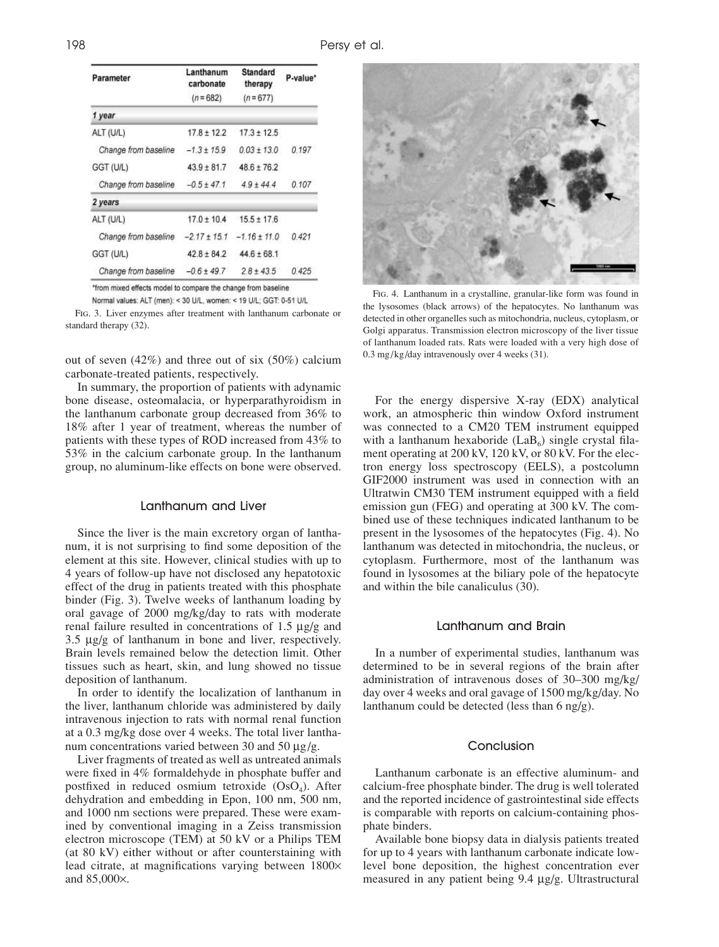| Parameter            | Lanthanum<br>carbonate<br>$(n = 682)$ | Standard<br>therapy<br>$(n = 677)$ | P-value* |
|----------------------|---------------------------------------|------------------------------------|----------|
|                      |                                       |                                    |          |
| ALT (U/L)            | $17.8 \pm 12.2$                       | $17.3 \pm 12.5$                    |          |
| Change from baseline | $-1.3 \pm 15.9$                       | $0.03 + 13.0$                      | 0.197    |
| GGT (U/L)            | $43.9 \pm 81.7$                       | $48.6 + 76.2$                      |          |
| Change from baseline | $-0.5 \pm 47.1$                       | $4.9 \pm 44.4$                     | 0.107    |
| 2 years              |                                       |                                    |          |
| ALT (U/L)            | $17.0 \pm 10.4$                       | $15.5 \pm 17.6$                    |          |
| Change from baseline | $-2.17 \pm 15.1$                      | $-1.16 \pm 11.0$                   | 0.421    |
| GGT (U/L)            | $42.8 \pm 84.2$                       | $44.6 \pm 68.1$                    |          |
| Change from baseline | $-0.6 + 49.7$                         | $28 + 435$                         | 0.425    |

\*from mixed effects model to compare the change from baseline

Normal values: ALT (men): < 30 U/L, women: < 19 U/L; GGT: 0-51 U/L Fig. 3. Liver enzymes after treatment with lanthanum carbonate or standard therapy (32).

out of seven  $(42%)$  and three out of six  $(50%)$  calcium carbonate-treated patients, respectively.

In summary, the proportion of patients with adynamic bone disease, osteomalacia, or hyperparathyroidism in the lanthanum carbonate group decreased from 36% to 18% after 1 year of treatment, whereas the number of patients with these types of ROD increased from 43% to 53% in the calcium carbonate group. In the lanthanum group, no aluminum-like effects on bone were observed.

## Lanthanum and Liver

Since the liver is the main excretory organ of lanthanum, it is not surprising to find some deposition of the element at this site. However, clinical studies with up to 4 years of follow-up have not disclosed any hepatotoxic effect of the drug in patients treated with this phosphate binder (Fig. 3). Twelve weeks of lanthanum loading by oral gavage of 2000 mg/kg/day to rats with moderate renal failure resulted in concentrations of 1.5 µg/g and 3.5 µg/g of lanthanum in bone and liver, respectively. Brain levels remained below the detection limit. Other tissues such as heart, skin, and lung showed no tissue deposition of lanthanum.

In order to identify the localization of lanthanum in the liver, lanthanum chloride was administered by daily intravenous injection to rats with normal renal function at a 0.3 mg/kg dose over 4 weeks. The total liver lanthanum concentrations varied between 30 and 50  $\mu$ g/g.

Liver fragments of treated as well as untreated animals were fixed in 4% formaldehyde in phosphate buffer and postfixed in reduced osmium tetroxide  $(OsO<sub>4</sub>)$ . After dehydration and embedding in Epon, 100 nm, 500 nm, and 1000 nm sections were prepared. These were examined by conventional imaging in a Zeiss transmission electron microscope (TEM) at 50 kV or a Philips TEM (at 80 kV) either without or after counterstaining with lead citrate, at magnifications varying between 1800× and 85,000×.



Fig. 4. Lanthanum in a crystalline, granular-like form was found in the lysosomes (black arrows) of the hepatocytes. No lanthanum was detected in other organelles such as mitochondria, nucleus, cytoplasm, or Golgi apparatus. Transmission electron microscopy of the liver tissue of lanthanum loaded rats. Rats were loaded with a very high dose of 0.3 mg/kg/day intravenously over 4 weeks (31).

For the energy dispersive X-ray (EDX) analytical work, an atmospheric thin window Oxford instrument was connected to a CM20 TEM instrument equipped with a lanthanum hexaboride (LaB $_6$ ) single crystal filament operating at 200 kV, 120 kV, or 80 kV. For the electron energy loss spectroscopy (EELS), a postcolumn GIF2000 instrument was used in connection with an Ultratwin CM30 TEM instrument equipped with a field emission gun (FEG) and operating at 300 kV. The combined use of these techniques indicated lanthanum to be present in the lysosomes of the hepatocytes (Fig. 4). No lanthanum was detected in mitochondria, the nucleus, or cytoplasm. Furthermore, most of the lanthanum was found in lysosomes at the biliary pole of the hepatocyte and within the bile canaliculus (30).

## Lanthanum and Brain

In a number of experimental studies, lanthanum was determined to be in several regions of the brain after administration of intravenous doses of 30–300 mg/kg/ day over 4 weeks and oral gavage of 1500 mg/kg/day. No lanthanum could be detected (less than  $6 \text{ ng/g}$ ).

# Conclusion

Lanthanum carbonate is an effective aluminum- and calcium-free phosphate binder. The drug is well tolerated and the reported incidence of gastrointestinal side effects is comparable with reports on calcium-containing phosphate binders.

Available bone biopsy data in dialysis patients treated for up to 4 years with lanthanum carbonate indicate lowlevel bone deposition, the highest concentration ever measured in any patient being 9.4 µg/g. Ultrastructural